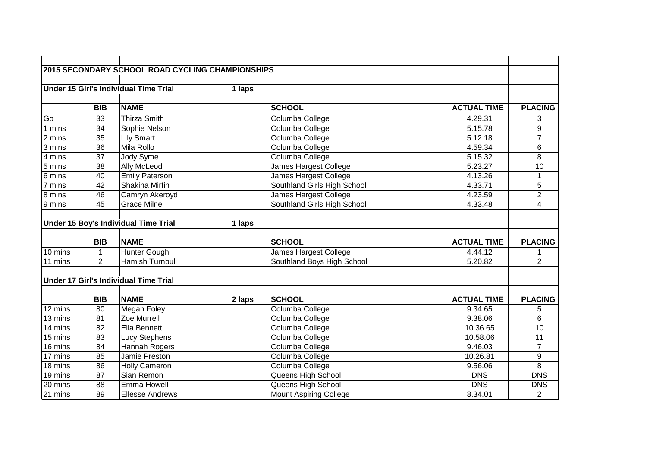|         |                | 2015 SECONDARY SCHOOL ROAD CYCLING CHAMPIONSHIPS |           |                               |                    |                |
|---------|----------------|--------------------------------------------------|-----------|-------------------------------|--------------------|----------------|
|         |                |                                                  |           |                               |                    |                |
|         |                | <b>Under 15 Girl's Individual Time Trial</b>     | $ 1$ laps |                               |                    |                |
|         |                |                                                  |           |                               |                    |                |
|         | <b>BIB</b>     | <b>NAME</b>                                      |           | <b>SCHOOL</b>                 | <b>ACTUAL TIME</b> | <b>PLACING</b> |
| Go      | 33             | <b>Thirza Smith</b>                              |           | Columba College               | 4.29.31            | 3              |
| 1 mins  | 34             | Sophie Nelson                                    |           | Columba College               | 5.15.78            | 9              |
| 2 mins  | 35             | <b>Lily Smart</b>                                |           | Columba College               | 5.12.18            | $\overline{7}$ |
| 3 mins  | 36             | Mila Rollo                                       |           | Columba College               | 4.59.34            | 6              |
| 4 mins  | 37             | Jody Syme                                        |           | Columba College               | 5.15.32            | 8              |
| 5 mins  | 38             | <b>Ally McLeod</b>                               |           | James Hargest College         | 5.23.27            | 10             |
| 6 mins  | 40             | <b>Emily Paterson</b>                            |           | James Hargest College         | 4.13.26            | $\mathbf 1$    |
| 7 mins  | 42             | Shakina Mirfin                                   |           | Southland Girls High School   | 4.33.71            | $\mathbf 5$    |
| 8 mins  | 46             | Camryn Akeroyd                                   |           | James Hargest College         | 4.23.59            | $\overline{2}$ |
| 9 mins  | 45             | <b>Grace Milne</b>                               |           | Southland Girls High School   | 4.33.48            | 4              |
|         |                |                                                  |           |                               |                    |                |
|         |                | Under 15 Boy's Individual Time Trial             | 1 laps    |                               |                    |                |
|         |                |                                                  |           |                               |                    |                |
|         | <b>BIB</b>     | <b>NAME</b>                                      |           | <b>SCHOOL</b>                 | <b>ACTUAL TIME</b> | <b>PLACING</b> |
| 10 mins | 1              | Hunter Gough                                     |           | James Hargest College         | 4.44.12            |                |
| 11 mins | $\overline{2}$ | <b>Hamish Turnbull</b>                           |           | Southland Boys High School    | 5.20.82            | $\overline{2}$ |
|         |                |                                                  |           |                               |                    |                |
|         |                | <b>Under 17 Girl's Individual Time Trial</b>     |           |                               |                    |                |
|         |                |                                                  |           |                               |                    |                |
|         | <b>BIB</b>     | <b>NAME</b>                                      | 2 laps    | <b>SCHOOL</b>                 | <b>ACTUAL TIME</b> | <b>PLACING</b> |
| 12 mins | 80             | Megan Foley                                      |           | Columba College               | 9.34.65            | 5              |
| 13 mins | 81             | Zoe Murrell                                      |           | Columba College               | 9.38.06            | 6              |
| 14 mins | 82             | <b>Ella Bennett</b>                              |           | Columba College               | 10.36.65           | 10             |
| 15 mins | 83             | <b>Lucy Stephens</b>                             |           | Columba College               | 10.58.06           | 11             |
| 16 mins | 84             | Hannah Rogers                                    |           | Columba College               | 9.46.03            | $\overline{7}$ |
| 17 mins | 85             | Jamie Preston                                    |           | Columba College               | 10.26.81           | 9              |
| 18 mins | 86             | Holly Cameron                                    |           | Columba College               | 9.56.06            | 8              |
| 19 mins | 87             | Sian Remon                                       |           | Queens High School            | <b>DNS</b>         | <b>DNS</b>     |
| 20 mins | 88             | Emma Howell                                      |           | Queens High School            | <b>DNS</b>         | <b>DNS</b>     |
| 21 mins | 89             | <b>Ellesse Andrews</b>                           |           | <b>Mount Aspiring College</b> | 8.34.01            | $\overline{2}$ |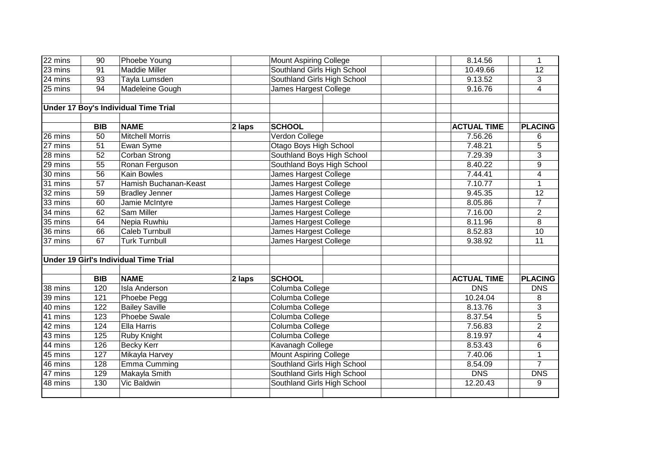| 22 mins              | $\overline{90}$ | Phoebe Young                                 |        | <b>Mount Aspiring College</b> |  | 8.14.56            | $\mathbf{1}$            |
|----------------------|-----------------|----------------------------------------------|--------|-------------------------------|--|--------------------|-------------------------|
| 23 mins              | 91              | Maddie Miller                                |        | Southland Girls High School   |  | 10.49.66           | $\overline{12}$         |
| 24 mins              | 93              | Tayla Lumsden                                |        | Southland Girls High School   |  | 9.13.52            | 3                       |
| 25 mins              | 94              | Madeleine Gough                              |        | James Hargest College         |  | 9.16.76            | $\overline{\mathbf{4}}$ |
|                      |                 |                                              |        |                               |  |                    |                         |
|                      |                 | <b>Under 17 Boy's Individual Time Trial</b>  |        |                               |  |                    |                         |
|                      |                 |                                              |        |                               |  |                    |                         |
|                      | <b>BIB</b>      | <b>NAME</b>                                  | 2 laps | <b>SCHOOL</b>                 |  | <b>ACTUAL TIME</b> | <b>PLACING</b>          |
| 26 mins              | 50              | <b>Mitchell Morris</b>                       |        | Verdon College                |  | 7.56.26            | 6                       |
| $\overline{27}$ mins | $\overline{51}$ | Ewan Syme                                    |        | <b>Otago Boys High School</b> |  | 7.48.21            | 5                       |
| 28 mins              | 52              | Corban Strong                                |        | Southland Boys High School    |  | 7.29.39            | 3                       |
| 29 mins              | 55              | Ronan Ferguson                               |        | Southland Boys High School    |  | 8.40.22            | 9                       |
| 30 mins              | $\overline{56}$ | <b>Kain Bowles</b>                           |        | James Hargest College         |  | 7.44.41            | $\overline{4}$          |
| 31 mins              | 57              | Hamish Buchanan-Keast                        |        | James Hargest College         |  | 7.10.77            | $\mathbf{1}$            |
| 32 mins              | 59              | <b>Bradley Jenner</b>                        |        | James Hargest College         |  | 9.45.35            | $\overline{12}$         |
| 33 mins              | 60              | Jamie McIntyre                               |        | James Hargest College         |  | 8.05.86            | $\overline{7}$          |
| 34 mins              | 62              | <b>Sam Miller</b>                            |        | James Hargest College         |  | 7.16.00            | $\overline{2}$          |
| 35 mins              | 64              | Nepia Ruwhiu                                 |        | James Hargest College         |  | 8.11.96            | $\overline{8}$          |
| 36 mins              | 66              | <b>Caleb Turnbull</b>                        |        | James Hargest College         |  | 8.52.83            | 10                      |
| 37 mins              | 67              | <b>Turk Turnbull</b>                         |        | James Hargest College         |  | 9.38.92            | 11                      |
|                      |                 |                                              |        |                               |  |                    |                         |
|                      |                 | <b>Under 19 Girl's Individual Time Trial</b> |        |                               |  |                    |                         |
|                      |                 |                                              |        |                               |  |                    |                         |
|                      | <b>BIB</b>      | <b>NAME</b>                                  | 2 laps | <b>SCHOOL</b>                 |  | <b>ACTUAL TIME</b> | <b>PLACING</b>          |
| 38 mins              | 120             | Isla Anderson                                |        | Columba College               |  | <b>DNS</b>         | <b>DNS</b>              |
| 39 mins              | 121             | Phoebe Pegg                                  |        | Columba College               |  | 10.24.04           | 8                       |
| 40 mins              | 122             | <b>Bailey Saville</b>                        |        | Columba College               |  | 8.13.76            | $\overline{3}$          |
| 41 mins              | 123             | <b>Phoebe Swale</b>                          |        | Columba College               |  | 8.37.54            | $\overline{5}$          |
| 42 mins              | 124             | Ella Harris                                  |        | Columba College               |  | 7.56.83            | $\overline{2}$          |
| 43 mins              | 125             | Ruby Knight                                  |        | Columba College               |  | 8.19.97            | $\overline{4}$          |
| 44 mins              | 126             | Becky Kerr                                   |        | Kavanagh College              |  | 8.53.43            | 6                       |
| 45 mins              | 127             | Mikayla Harvey                               |        | <b>Mount Aspiring College</b> |  | 7.40.06            | $\mathbf{1}$            |
| 46 mins              | 128             | Emma Cumming                                 |        | Southland Girls High School   |  | 8.54.09            | $\overline{7}$          |
| 47 mins              | 129             | Makayla Smith                                |        | Southland Girls High School   |  | <b>DNS</b>         | <b>DNS</b>              |
| 48 mins              | 130             | Vic Baldwin                                  |        | Southland Girls High School   |  | 12.20.43           | 9                       |
|                      |                 |                                              |        |                               |  |                    |                         |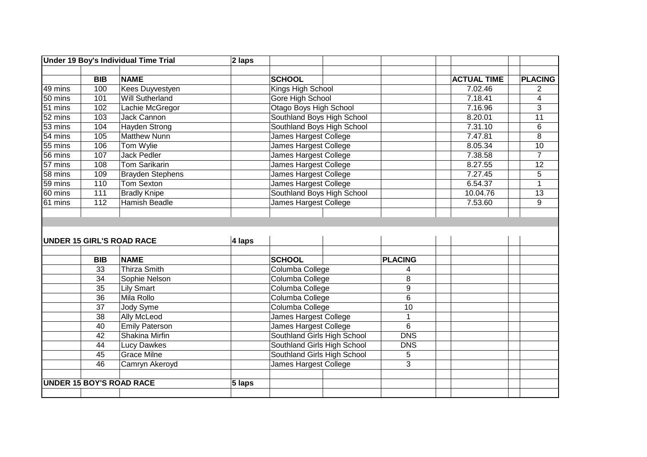|                      |            | <b>Under 19 Boy's Individual Time Trial</b> | $\sqrt{2}$ laps |                               |  |                 |                    |                 |
|----------------------|------------|---------------------------------------------|-----------------|-------------------------------|--|-----------------|--------------------|-----------------|
|                      |            |                                             |                 |                               |  |                 |                    |                 |
|                      | <b>BIB</b> | <b>NAME</b>                                 |                 | <b>SCHOOL</b>                 |  |                 | <b>ACTUAL TIME</b> | <b>PLACING</b>  |
| 49 mins              | 100        | <b>Kees Duyvestyen</b>                      |                 | Kings High School             |  |                 | 7.02.46            | 2               |
| 50 mins              | 101        | <b>Will Sutherland</b>                      |                 | Gore High School              |  |                 | 7.18.41            | 4               |
| 51 mins              | 102        | Lachie McGregor                             |                 | <b>Otago Boys High School</b> |  |                 | 7.16.96            | $\overline{3}$  |
| 52 mins              | 103        | <b>Jack Cannon</b>                          |                 | Southland Boys High School    |  |                 | 8.20.01            | $\overline{11}$ |
| 53 mins              | 104        | <b>Hayden Strong</b>                        |                 | Southland Boys High School    |  |                 | 7.31.10            | 6               |
| 54 mins              | 105        | <b>Matthew Nunn</b>                         |                 | James Hargest College         |  |                 | 7.47.81            | 8               |
| 55 mins              | 106        | Tom Wylie                                   |                 | <b>James Hargest College</b>  |  |                 | 8.05.34            | $\overline{10}$ |
| 56 mins              | 107        | <b>Jack Pedler</b>                          |                 | James Hargest College         |  |                 | 7.38.58            | $\overline{7}$  |
| $\overline{57}$ mins | 108        | <b>Tom Sarikarin</b>                        |                 | <b>James Hargest College</b>  |  |                 | 8.27.55            | $\overline{12}$ |
| 58 mins              | 109        | <b>Brayden Stephens</b>                     |                 | James Hargest College         |  |                 | 7.27.45            | $\overline{5}$  |
| 59 mins              | 110        | <b>Tom Sexton</b>                           |                 | James Hargest College         |  |                 | 6.54.37            | $\mathbf{1}$    |
| 60 mins              | 111        | <b>Bradly Knipe</b>                         |                 | Southland Boys High School    |  |                 | 10.04.76           | 13              |
| 61 mins              | 112        | <b>Hamish Beadle</b>                        |                 | James Hargest College         |  |                 | 7.53.60            | 9               |
|                      |            |                                             |                 |                               |  |                 |                    |                 |
|                      |            |                                             |                 |                               |  |                 |                    |                 |
|                      |            |                                             |                 |                               |  |                 |                    |                 |
|                      |            | <b>UNDER 15 GIRL'S ROAD RACE</b>            | 4 laps          |                               |  |                 |                    |                 |
|                      |            |                                             |                 |                               |  |                 |                    |                 |
|                      | <b>BIB</b> | <b>NAME</b>                                 |                 | <b>SCHOOL</b>                 |  | <b>PLACING</b>  |                    |                 |
|                      | 33         | <b>Thirza Smith</b>                         |                 | Columba College               |  | 4               |                    |                 |
|                      | 34         | Sophie Nelson                               |                 | Columba College               |  | $\overline{8}$  |                    |                 |
|                      | 35         | <b>Lily Smart</b>                           |                 | Columba College               |  | $\overline{9}$  |                    |                 |
|                      | 36         | Mila Rollo                                  |                 | Columba College               |  | $\overline{6}$  |                    |                 |
|                      | 37         | Jody Syme                                   |                 | Columba College               |  | 10              |                    |                 |
|                      | 38         | <b>Ally McLeod</b>                          |                 | James Hargest College         |  | 1               |                    |                 |
|                      | 40         | <b>Emily Paterson</b>                       |                 | James Hargest College         |  | $6\overline{6}$ |                    |                 |
|                      | 42         |                                             |                 | Southland Girls High School   |  |                 |                    |                 |
|                      | 44         | Shakina Mirfin                              |                 |                               |  | <b>DNS</b>      |                    |                 |
|                      |            | <b>Lucy Dawkes</b>                          |                 | Southland Girls High School   |  | <b>DNS</b>      |                    |                 |
|                      | 45         | <b>Grace Milne</b>                          |                 | Southland Girls High School   |  | 5               |                    |                 |
|                      | 46         | Camryn Akeroyd                              |                 | James Hargest College         |  | $\overline{3}$  |                    |                 |
|                      |            |                                             |                 |                               |  |                 |                    |                 |
|                      |            | <b>UNDER 15 BOY'S ROAD RACE</b>             | 5 laps          |                               |  |                 |                    |                 |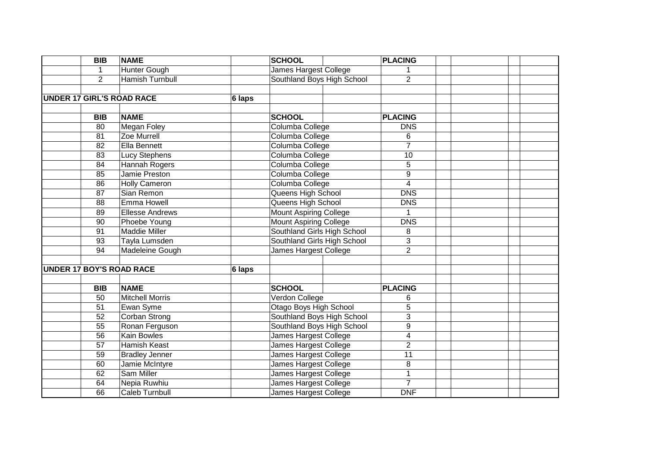|                                 | $\overline{BIB}$ | <b>NAME</b>                      |        | <b>SCHOOL</b>                 | <b>PLACING</b> |  |
|---------------------------------|------------------|----------------------------------|--------|-------------------------------|----------------|--|
|                                 |                  | Hunter Gough                     |        | <b>James Hargest College</b>  |                |  |
|                                 | $\overline{2}$   | <b>Hamish Turnbull</b>           |        | Southland Boys High School    | $\overline{2}$ |  |
|                                 |                  |                                  |        |                               |                |  |
|                                 |                  | <b>UNDER 17 GIRL'S ROAD RACE</b> | 6 laps |                               |                |  |
|                                 |                  |                                  |        |                               |                |  |
|                                 | <b>BIB</b>       | <b>NAME</b>                      |        | <b>SCHOOL</b>                 | <b>PLACING</b> |  |
|                                 | 80               | <b>Megan Foley</b>               |        | Columba College               | <b>DNS</b>     |  |
|                                 | 81               | Zoe Murrell                      |        | Columba College               | 6              |  |
|                                 | 82               | Ella Bennett                     |        | Columba College               | $\overline{7}$ |  |
|                                 | 83               | <b>Lucy Stephens</b>             |        | Columba College               | 10             |  |
|                                 | 84               | Hannah Rogers                    |        | Columba College               | 5              |  |
|                                 | 85               | Jamie Preston                    |        | Columba College               | 9              |  |
|                                 | 86               | <b>Holly Cameron</b>             |        | Columba College               | $\overline{4}$ |  |
|                                 | 87               | Sian Remon                       |        | Queens High School            | <b>DNS</b>     |  |
|                                 | 88               | <b>Emma Howell</b>               |        | Queens High School            | <b>DNS</b>     |  |
|                                 | 89               | <b>Ellesse Andrews</b>           |        | <b>Mount Aspiring College</b> |                |  |
|                                 | 90               | Phoebe Young                     |        | <b>Mount Aspiring College</b> | <b>DNS</b>     |  |
|                                 | 91               | Maddie Miller                    |        | Southland Girls High School   | 8              |  |
|                                 | 93               | Tayla Lumsden                    |        | Southland Girls High School   | $\overline{3}$ |  |
|                                 | 94               | Madeleine Gough                  |        | James Hargest College         | $\overline{2}$ |  |
|                                 |                  |                                  |        |                               |                |  |
| <b>UNDER 17 BOY'S ROAD RACE</b> |                  |                                  | 6 laps |                               |                |  |
|                                 |                  |                                  |        |                               |                |  |
|                                 | <b>BIB</b>       | <b>NAME</b>                      |        | <b>SCHOOL</b>                 | <b>PLACING</b> |  |
|                                 | 50               | Mitchell Morris                  |        | Verdon College                | 6              |  |
|                                 | 51               | Ewan Syme                        |        | Otago Boys High School        | $\overline{5}$ |  |
|                                 | 52               | <b>Corban Strong</b>             |        | Southland Boys High School    | $\overline{3}$ |  |
|                                 | 55               | Ronan Ferguson                   |        | Southland Boys High School    | $\overline{9}$ |  |
|                                 | 56               | Kain Bowles                      |        | James Hargest College         | 4              |  |
|                                 | 57               | Hamish Keast                     |        | James Hargest College         | $\overline{2}$ |  |
|                                 | 59               | <b>Bradley Jenner</b>            |        | James Hargest College         | 11             |  |
|                                 | 60               | Jamie McIntyre                   |        | James Hargest College         | 8              |  |
|                                 | 62               | Sam Miller                       |        | James Hargest College         | $\mathbf{1}$   |  |
|                                 | 64               | Nepia Ruwhiu                     |        | James Hargest College         | $\overline{7}$ |  |
|                                 | 66               | Caleb Turnbull                   |        | James Hargest College         | <b>DNF</b>     |  |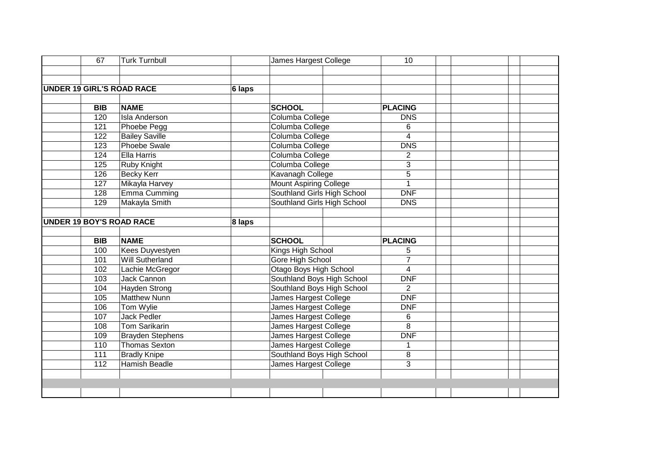|                                 | 67         | <b>Turk Turnbull</b>             |        | James Hargest College                                                                                                                                                                       |  | 10             |  |  |
|---------------------------------|------------|----------------------------------|--------|---------------------------------------------------------------------------------------------------------------------------------------------------------------------------------------------|--|----------------|--|--|
|                                 |            |                                  |        |                                                                                                                                                                                             |  |                |  |  |
|                                 |            |                                  |        |                                                                                                                                                                                             |  |                |  |  |
|                                 |            | <b>UNDER 19 GIRL'S ROAD RACE</b> | 6 laps |                                                                                                                                                                                             |  |                |  |  |
|                                 |            |                                  |        |                                                                                                                                                                                             |  |                |  |  |
|                                 | <b>BIB</b> | <b>NAME</b>                      |        | <b>SCHOOL</b>                                                                                                                                                                               |  | <b>PLACING</b> |  |  |
|                                 | 120        | <b>Isla Anderson</b>             |        | Columba College                                                                                                                                                                             |  | <b>DNS</b>     |  |  |
|                                 | 121        | Phoebe Pegg                      |        | Columba College                                                                                                                                                                             |  | 6              |  |  |
|                                 | 122        | <b>Bailey Saville</b>            |        |                                                                                                                                                                                             |  | 4              |  |  |
|                                 | 123        | <b>Phoebe Swale</b>              |        | Columba College                                                                                                                                                                             |  | <b>DNS</b>     |  |  |
|                                 | 124        | Ella Harris                      |        | Columba College                                                                                                                                                                             |  | $\overline{2}$ |  |  |
|                                 | 125        | <b>Ruby Knight</b>               |        | Columba College<br>Columba College<br>Kavanagh College<br><b>Mount Aspiring College</b><br>Southland Girls High School<br>Southland Girls High School<br><b>SCHOOL</b><br>Kings High School |  | 3              |  |  |
|                                 | 126        | <b>Becky Kerr</b>                |        |                                                                                                                                                                                             |  | $\overline{5}$ |  |  |
|                                 | 127        | Mikayla Harvey                   |        |                                                                                                                                                                                             |  |                |  |  |
|                                 | 128        | Emma Cumming                     |        |                                                                                                                                                                                             |  | <b>DNF</b>     |  |  |
|                                 | 129        | Makayla Smith                    |        |                                                                                                                                                                                             |  | <b>DNS</b>     |  |  |
|                                 |            |                                  |        |                                                                                                                                                                                             |  |                |  |  |
| <b>UNDER 19 BOY'S ROAD RACE</b> |            |                                  | 8 laps |                                                                                                                                                                                             |  |                |  |  |
|                                 |            |                                  |        |                                                                                                                                                                                             |  |                |  |  |
|                                 | <b>BIB</b> | <b>NAME</b>                      |        |                                                                                                                                                                                             |  | <b>PLACING</b> |  |  |
|                                 | 100        | Kees Duyvestyen                  |        |                                                                                                                                                                                             |  | 5              |  |  |
|                                 | 101        | <b>Will Sutherland</b>           |        | Gore High School                                                                                                                                                                            |  | $\overline{7}$ |  |  |
|                                 | 102        | Lachie McGregor                  |        | <b>Otago Boys High School</b>                                                                                                                                                               |  | 4              |  |  |
|                                 | 103        | Jack Cannon                      |        | Southland Boys High School                                                                                                                                                                  |  | <b>DNF</b>     |  |  |
|                                 | 104        | Hayden Strong                    |        | Southland Boys High School                                                                                                                                                                  |  | $\overline{2}$ |  |  |
|                                 | 105        | Matthew Nunn                     |        | James Hargest College                                                                                                                                                                       |  | <b>DNF</b>     |  |  |
|                                 | 106        | Tom Wylie                        |        | James Hargest College                                                                                                                                                                       |  | <b>DNF</b>     |  |  |
|                                 | 107        | <b>Jack Pedler</b>               |        | James Hargest College                                                                                                                                                                       |  | 6              |  |  |
|                                 | 108        | <b>Tom Sarikarin</b>             |        | James Hargest College                                                                                                                                                                       |  | 8              |  |  |
|                                 | 109        | <b>Brayden Stephens</b>          |        | <b>James Hargest College</b>                                                                                                                                                                |  | <b>DNF</b>     |  |  |
|                                 | 110        | <b>Thomas Sexton</b>             |        | James Hargest College                                                                                                                                                                       |  | 1              |  |  |
|                                 | 111        | <b>Bradly Knipe</b>              |        | Southland Boys High School                                                                                                                                                                  |  | 8              |  |  |
|                                 | 112        | <b>Hamish Beadle</b>             |        | James Hargest College                                                                                                                                                                       |  | 3              |  |  |
|                                 |            |                                  |        |                                                                                                                                                                                             |  |                |  |  |
|                                 |            |                                  |        |                                                                                                                                                                                             |  |                |  |  |
|                                 |            |                                  |        |                                                                                                                                                                                             |  |                |  |  |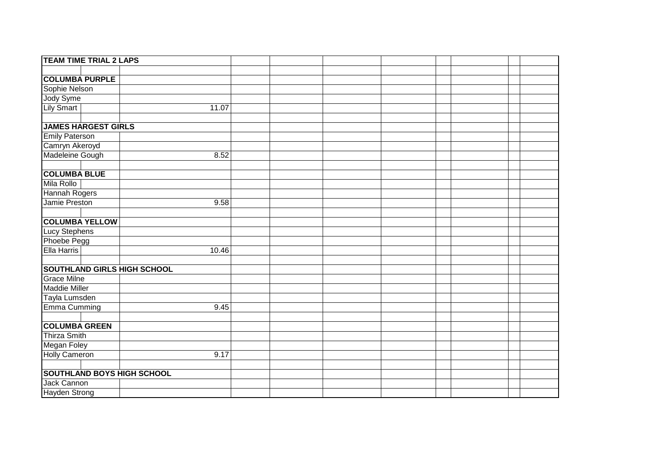| <b>TEAM TIME TRIAL 2 LAPS</b>      |       |  |  |  |  |
|------------------------------------|-------|--|--|--|--|
|                                    |       |  |  |  |  |
| <b>COLUMBA PURPLE</b>              |       |  |  |  |  |
| Sophie Nelson                      |       |  |  |  |  |
| Jody Syme                          |       |  |  |  |  |
| <b>Lily Smart</b>                  | 11.07 |  |  |  |  |
|                                    |       |  |  |  |  |
| <b>JAMES HARGEST GIRLS</b>         |       |  |  |  |  |
| <b>Emily Paterson</b>              |       |  |  |  |  |
| Camryn Akeroyd                     |       |  |  |  |  |
| Madeleine Gough                    | 8.52  |  |  |  |  |
|                                    |       |  |  |  |  |
| <b>COLUMBA BLUE</b>                |       |  |  |  |  |
| Mila Rollo                         |       |  |  |  |  |
| <b>Hannah Rogers</b>               |       |  |  |  |  |
| Jamie Preston                      | 9.58  |  |  |  |  |
|                                    |       |  |  |  |  |
| <b>COLUMBA YELLOW</b>              |       |  |  |  |  |
| Lucy Stephens                      |       |  |  |  |  |
| Phoebe Pegg                        |       |  |  |  |  |
| <b>Ella Harris</b>                 | 10.46 |  |  |  |  |
|                                    |       |  |  |  |  |
| <b>SOUTHLAND GIRLS HIGH SCHOOL</b> |       |  |  |  |  |
| <b>Grace Milne</b>                 |       |  |  |  |  |
| <b>Maddie Miller</b>               |       |  |  |  |  |
| Tayla Lumsden                      |       |  |  |  |  |
| Emma Cumming                       | 9.45  |  |  |  |  |
|                                    |       |  |  |  |  |
| <b>COLUMBA GREEN</b>               |       |  |  |  |  |
| <b>Thirza Smith</b>                |       |  |  |  |  |
| Megan Foley                        |       |  |  |  |  |
| <b>Holly Cameron</b>               | 9.17  |  |  |  |  |
|                                    |       |  |  |  |  |
| <b>SOUTHLAND BOYS HIGH SCHOOL</b>  |       |  |  |  |  |
| Jack Cannon                        |       |  |  |  |  |
| Hayden Strong                      |       |  |  |  |  |